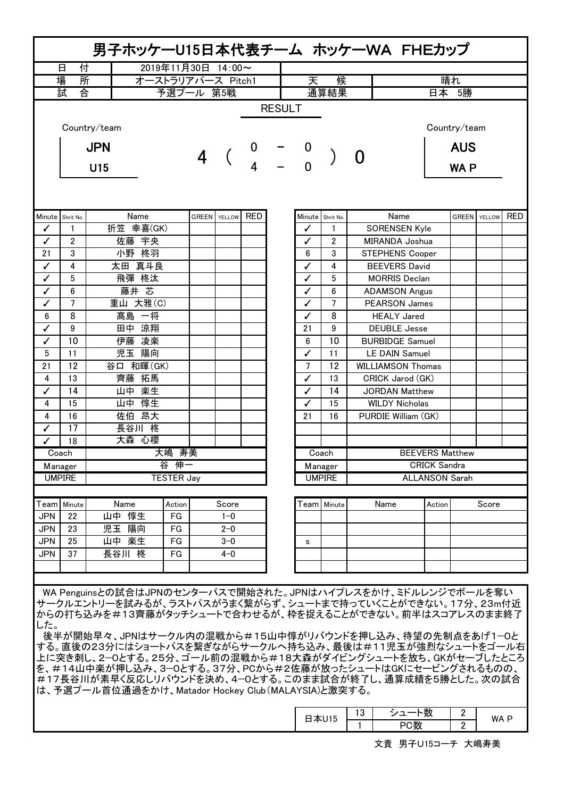| 男子ホッケーU15日本代表チーム ホッケーWA FHEカップ                                                                                                                                                                                                                                                                                                                                    |                   |              |                    |                |               |            |    |                |                  |                       |                          |                        |                     |  |            |
|-------------------------------------------------------------------------------------------------------------------------------------------------------------------------------------------------------------------------------------------------------------------------------------------------------------------------------------------------------------------|-------------------|--------------|--------------------|----------------|---------------|------------|----|----------------|------------------|-----------------------|--------------------------|------------------------|---------------------|--|------------|
|                                                                                                                                                                                                                                                                                                                                                                   | 付<br>日            |              | 2019年11月30日 14:00~ |                |               |            |    |                |                  |                       |                          |                        |                     |  |            |
| 場<br>所<br>オーストラリアパース Pitch1                                                                                                                                                                                                                                                                                                                                       |                   |              |                    |                |               |            |    | 天              | 候                |                       | 晴れ                       |                        |                     |  |            |
|                                                                                                                                                                                                                                                                                                                                                                   | 試<br>合            |              | 予選プール 第5戦          |                |               |            |    |                | 通算結果             |                       | 日本 5勝                    |                        |                     |  |            |
| <b>RESULT</b>                                                                                                                                                                                                                                                                                                                                                     |                   |              |                    |                |               |            |    |                |                  |                       |                          |                        |                     |  |            |
|                                                                                                                                                                                                                                                                                                                                                                   |                   | Country/team |                    |                |               |            |    |                |                  |                       |                          |                        | Country/team        |  |            |
|                                                                                                                                                                                                                                                                                                                                                                   | <b>JPN</b><br>U15 |              |                    | $\overline{4}$ |               |            |    |                |                  | O                     |                          |                        | <b>AUS</b>          |  |            |
|                                                                                                                                                                                                                                                                                                                                                                   |                   |              |                    |                |               |            |    |                |                  |                       |                          |                        | <b>WAP</b>          |  |            |
|                                                                                                                                                                                                                                                                                                                                                                   |                   |              |                    |                |               |            |    |                |                  |                       |                          |                        |                     |  |            |
| Minute                                                                                                                                                                                                                                                                                                                                                            | Shrit No.         | Name         |                    | <b>GREEN</b>   | <b>YELLOW</b> | <b>RED</b> |    |                | Minute Shrit No. |                       | Name                     |                        | <b>GREEN</b> YELLOW |  | <b>RED</b> |
| ✓                                                                                                                                                                                                                                                                                                                                                                 | $\mathbf{1}$      | 折笠 幸喜(GK)    |                    |                |               |            |    | ✓              | $\mathbf{1}$     |                       | <b>SORENSEN Kyle</b>     |                        |                     |  |            |
| ✓                                                                                                                                                                                                                                                                                                                                                                 | 2                 | 佐藤 宇央        |                    |                |               |            |    | ✓              | 2                |                       | MIRANDA Joshua           |                        |                     |  |            |
| 21                                                                                                                                                                                                                                                                                                                                                                | 3                 | 小野 柊羽        |                    |                |               |            |    | 6              | 3                |                       | STEPHENS Cooper          |                        |                     |  |            |
| ✓                                                                                                                                                                                                                                                                                                                                                                 | 4                 | 太田 真斗良       |                    |                |               |            |    | ✓              | 4                |                       | <b>BEEVERS David</b>     |                        |                     |  |            |
| $\checkmark$                                                                                                                                                                                                                                                                                                                                                      | 5                 | 飛彈 柊汰        |                    |                |               |            |    | ✓              | 5                |                       | <b>MORRIS Declan</b>     |                        |                     |  |            |
| $\checkmark$                                                                                                                                                                                                                                                                                                                                                      | 6                 | 藤井 芯         |                    |                |               |            |    | ✓              | 6                |                       | <b>ADAMSON Angus</b>     |                        |                     |  |            |
| ✓                                                                                                                                                                                                                                                                                                                                                                 | 7                 | 重山 大雅(C)     |                    |                |               |            |    | ✓              | 7                |                       | <b>PEARSON James</b>     |                        |                     |  |            |
| 6                                                                                                                                                                                                                                                                                                                                                                 | 8                 | 髙島 一将        |                    |                |               |            |    | ✓              | 8                |                       | <b>HEALY Jared</b>       |                        |                     |  |            |
| ✓                                                                                                                                                                                                                                                                                                                                                                 | 9                 | 田中 涼翔        |                    |                |               |            |    | 21             | 9                |                       | <b>DEUBLE</b> Jesse      |                        |                     |  |            |
| ✓                                                                                                                                                                                                                                                                                                                                                                 | 10                | 伊藤 凌楽        |                    |                |               |            |    | 6              | 10               |                       | <b>BURBIDGE Samuel</b>   |                        |                     |  |            |
| 5                                                                                                                                                                                                                                                                                                                                                                 | 11                | 児玉 陽向        |                    |                |               |            |    | ✓              | 11               |                       | <b>LE DAIN Samuel</b>    |                        |                     |  |            |
| 21                                                                                                                                                                                                                                                                                                                                                                | 12                | 谷口 和暉(GK)    |                    |                |               |            |    | $\overline{7}$ | 12               |                       | <b>WILLIAMSON Thomas</b> |                        |                     |  |            |
| 4                                                                                                                                                                                                                                                                                                                                                                 | 13                | 齊藤 拓馬        |                    |                |               |            | ✓  | 13             |                  | CRICK Jarod (GK)      |                          |                        |                     |  |            |
| ✓                                                                                                                                                                                                                                                                                                                                                                 | 14                | 山中 楽生        |                    |                |               |            | ✓  | 14             |                  | <b>JORDAN Matthew</b> |                          |                        |                     |  |            |
| 4                                                                                                                                                                                                                                                                                                                                                                 | 15                | 山中 惇生        |                    |                |               |            | ✓  | 15             |                  | <b>WILDY Nicholas</b> |                          |                        |                     |  |            |
| 4                                                                                                                                                                                                                                                                                                                                                                 | 16                | 佐伯 昂大        |                    |                |               |            | 21 | 16             |                  | PURDIE William (GK)   |                          |                        |                     |  |            |
| ✓                                                                                                                                                                                                                                                                                                                                                                 | 17                | 長谷川 柊        |                    |                |               |            |    |                |                  |                       |                          |                        |                     |  |            |
| ✓                                                                                                                                                                                                                                                                                                                                                                 | 18                | 大森 心櫻        |                    |                |               |            |    |                |                  |                       |                          |                        |                     |  |            |
|                                                                                                                                                                                                                                                                                                                                                                   | Coach             |              | 大嶋 寿美              |                |               |            |    |                | Coach            |                       |                          | <b>BEEVERS Matthew</b> |                     |  |            |
|                                                                                                                                                                                                                                                                                                                                                                   | Manager           |              | 谷 伸一               |                |               |            |    |                | Manager          |                       |                          | <b>CRICK Sandra</b>    |                     |  |            |
| <b>UMPIRE</b>                                                                                                                                                                                                                                                                                                                                                     |                   |              | <b>TESTER Jay</b>  |                |               |            |    |                | <b>UMPIRE</b>    |                       |                          | <b>ALLANSON Sarah</b>  |                     |  |            |
| Team                                                                                                                                                                                                                                                                                                                                                              | Minute            | Name         | Action             |                | Score         |            |    |                | Team   Minute    | Name                  |                          | Action                 | Score               |  |            |
| <b>JPN</b>                                                                                                                                                                                                                                                                                                                                                        | 22                | 山中 惇生        | FG                 |                | $1 - 0$       |            |    |                |                  |                       |                          |                        |                     |  |            |
| <b>JPN</b>                                                                                                                                                                                                                                                                                                                                                        | 23                | 児玉 陽向        | FG                 |                | $2 - 0$       |            |    |                |                  |                       |                          |                        |                     |  |            |
| <b>JPN</b>                                                                                                                                                                                                                                                                                                                                                        | 25                | 山中 楽生        | FG                 |                | $3 - 0$       |            |    | s              |                  |                       |                          |                        |                     |  |            |
| <b>JPN</b>                                                                                                                                                                                                                                                                                                                                                        | 37                | 長谷川 柊        | FG                 |                | $4 - 0$       |            |    |                |                  |                       |                          |                        |                     |  |            |
|                                                                                                                                                                                                                                                                                                                                                                   |                   |              |                    |                |               |            |    |                |                  |                       |                          |                        |                     |  |            |
|                                                                                                                                                                                                                                                                                                                                                                   |                   |              |                    |                |               |            |    |                |                  |                       |                          |                        |                     |  |            |
| WA Penguinsとの試合はJPNのセンターパスで開始された。JPNはハイプレスをかけ、ミドルレンジでボールを奪い<br>サークルエントリーを試みるが、ラストパスがうまく繋がらず、シュートまで持っていくことができない。17分、23m付近<br>からの打ち込みを#13齊藤がタッチシュートで合わせるが、枠を捉えることができない。前半はスコアレスのまま終了                                                                                                                                                                                |                   |              |                    |                |               |            |    |                |                  |                       |                          |                        |                     |  |            |
| した。<br>後半が開始早々、JPNはサークル内の混戦から#15山中惇がリバウンドを押し込み、待望の先制点をあげ1-0と<br>する。直後の23分にはショートパスを繋ぎながらサークルへ持ち込み、最後は#11児玉が強烈なシュートをゴール右<br>上に突き刺し、2―0とする。25分、ゴール前の混戦から#18大森がダイビングシュートを放ち、GKがセーブしたところ<br>を、#14山中楽が押し込み、3―0とする。37分、PCから#2佐藤が放ったシュートはGKにセービングされるものの、<br>#17長谷川が素早く反応しリバウンドを決め、4―0とする。このまま試合が終了し、通算成績を5勝とした。次の試合<br>は、予選プール首位通過をかけ、Matador Hockey Club(MALAYSIA)と激突する。 |                   |              |                    |                |               |            |    |                |                  |                       |                          |                        |                     |  |            |
|                                                                                                                                                                                                                                                                                                                                                                   |                   |              |                    |                |               |            |    |                |                  |                       | $112$ $32 - 18$          |                        | $\Omega$            |  |            |

| _<br>$\sqrt{2}$ | 1 <sub>0</sub><br>د ا | 555<br>$\sim$<br>ይ | - | WA. |
|-----------------|-----------------------|--------------------|---|-----|
| טו ש<br>_       |                       | ाजर<br>〕致          | - |     |
|                 |                       |                    |   |     |